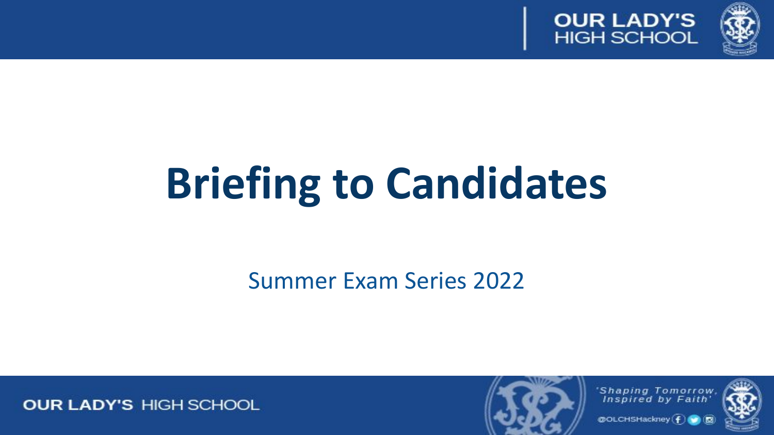



# **Briefing to Candidates**

Summer Exam Series 2022



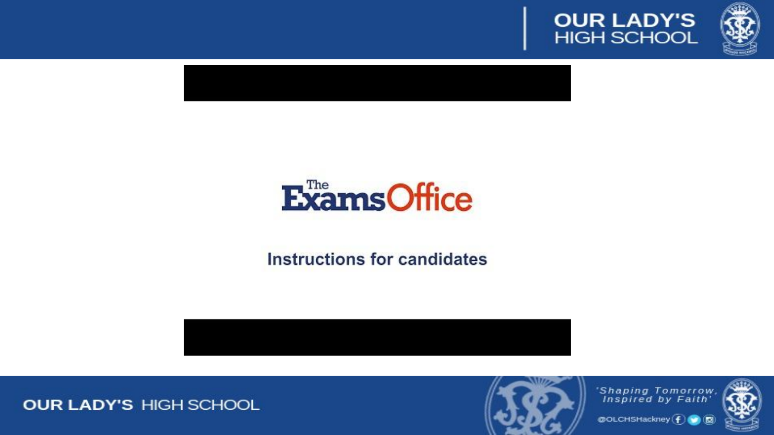







### Instructions for candidates



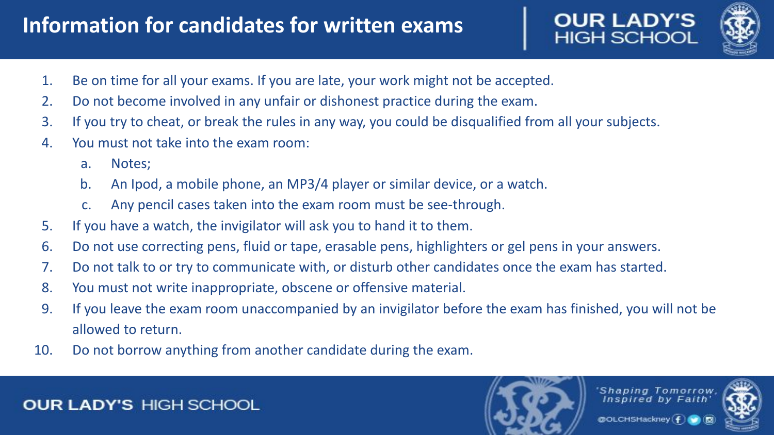# **Information for candidates for written exams**

**OUR LADY'S**<br>HIGH SCHOOL



- 1. Be on time for all your exams. If you are late, your work might not be accepted.
- 2. Do not become involved in any unfair or dishonest practice during the exam.
- 3. If you try to cheat, or break the rules in any way, you could be disqualified from all your subjects.
- 4. You must not take into the exam room:
	- a. Notes;
	- b. An Ipod, a mobile phone, an MP3/4 player or similar device, or a watch.
	- c. Any pencil cases taken into the exam room must be see-through.
- 5. If you have a watch, the invigilator will ask you to hand it to them.
- 6. Do not use correcting pens, fluid or tape, erasable pens, highlighters or gel pens in your answers.
- 7. Do not talk to or try to communicate with, or disturb other candidates once the exam has started.
- 8. You must not write inappropriate, obscene or offensive material.
- 9. If you leave the exam room unaccompanied by an invigilator before the exam has finished, you will not be allowed to return.
- 10. Do not borrow anything from another candidate during the exam.

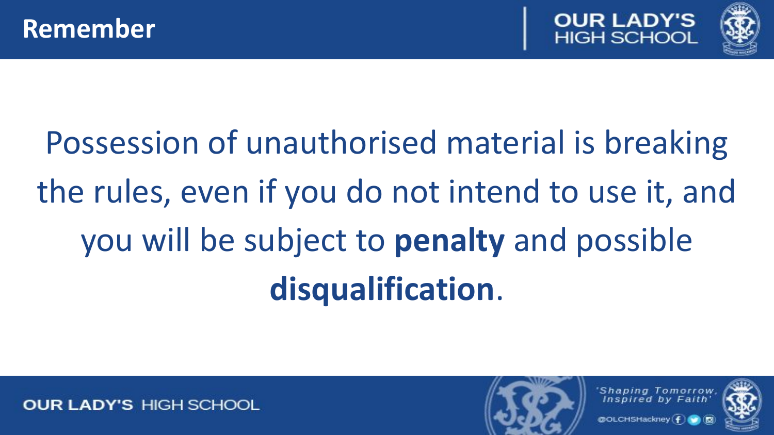

# Possession of unauthorised material is breaking the rules, even if you do not intend to use it, and you will be subject to **penalty** and possible **disqualification**.

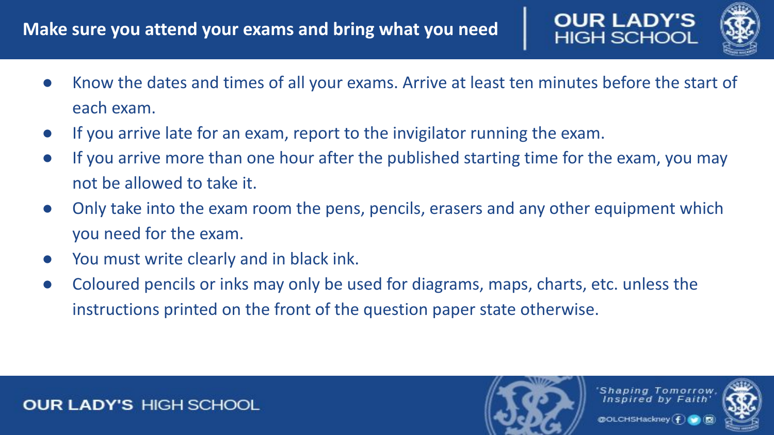

- If you arrive late for an exam, report to the invigilator running the exam.
- If you arrive more than one hour after the published starting time for the exam, you may not be allowed to take it.
- Only take into the exam room the pens, pencils, erasers and any other equipment which you need for the exam.
- You must write clearly and in black ink.
- Coloured pencils or inks may only be used for diagrams, maps, charts, etc. unless the instructions printed on the front of the question paper state otherwise.

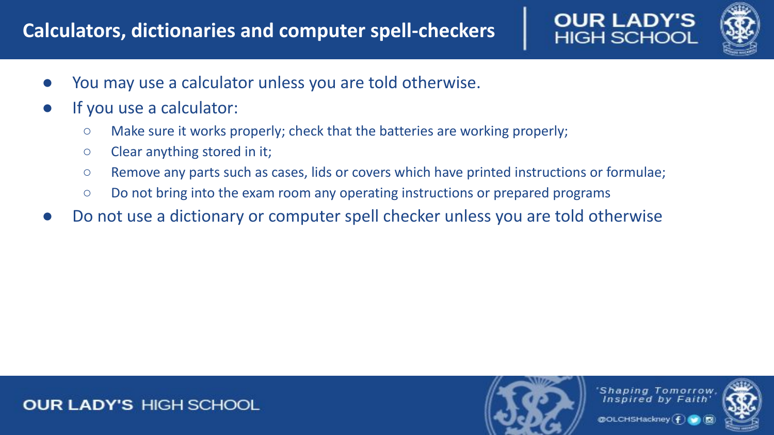## **Calculators, dictionaries and computer spell-checkers**



- You may use a calculator unless you are told otherwise.
- If you use a calculator:
	- Make sure it works properly; check that the batteries are working properly;
	- Clear anything stored in it;
	- Remove any parts such as cases, lids or covers which have printed instructions or formulae;
	- Do not bring into the exam room any operating instructions or prepared programs
- Do not use a dictionary or computer spell checker unless you are told otherwise



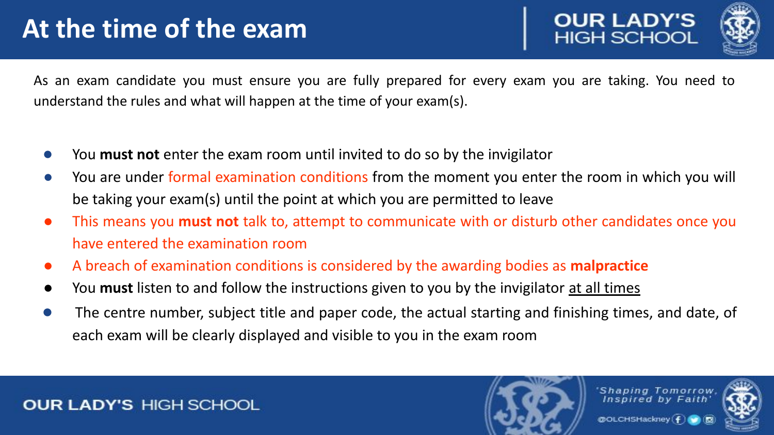# **At the time of the exam**





As an exam candidate you must ensure you are fully prepared for every exam you are taking. You need to understand the rules and what will happen at the time of your exam(s).

- You **must not** enter the exam room until invited to do so by the invigilator
- You are under formal examination conditions from the moment you enter the room in which you will be taking your exam(s) until the point at which you are permitted to leave
- This means you **must not** talk to, attempt to communicate with or disturb other candidates once you have entered the examination room
- A breach of examination conditions is considered by the awarding bodies as **malpractice**
- You **must** listen to and follow the instructions given to you by the invigilator at all times
- The centre number, subject title and paper code, the actual starting and finishing times, and date, of each exam will be clearly displayed and visible to you in the exam room

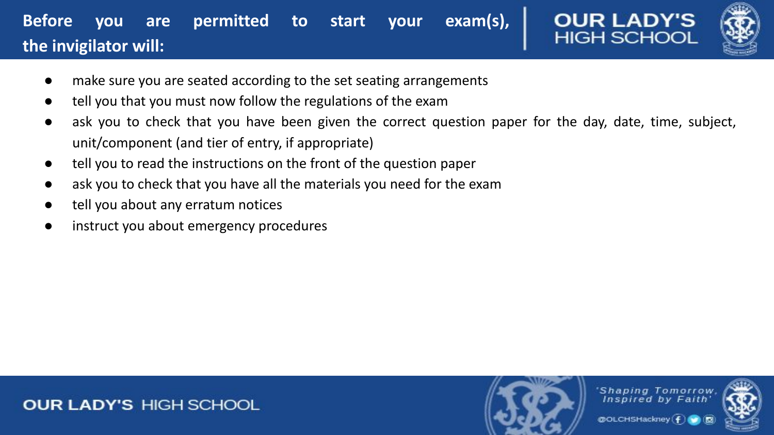## **Before you are permitted to start your exam(s), the invigilator will:**



- make sure you are seated according to the set seating arrangements
- tell you that you must now follow the regulations of the exam
- ask you to check that you have been given the correct question paper for the day, date, time, subject, unit/component (and tier of entry, if appropriate)
- tell you to read the instructions on the front of the question paper
- ask you to check that you have all the materials you need for the exam
- tell you about any erratum notices
- instruct you about emergency procedures



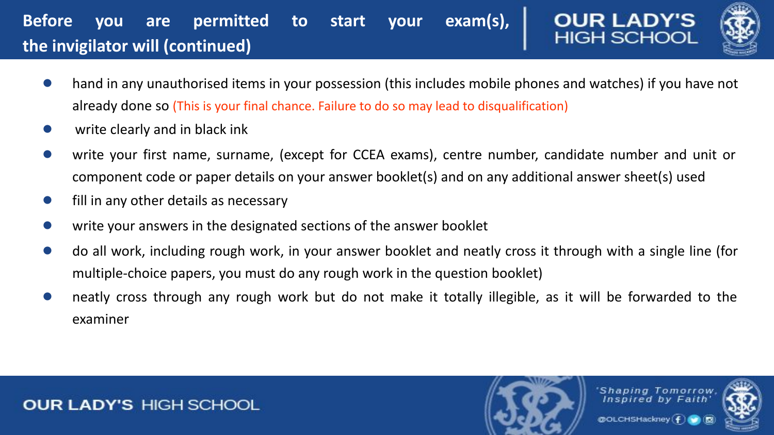## **Before you are permitted to start your exam(s), the invigilator will (continued)**



- hand in any unauthorised items in your possession (this includes mobile phones and watches) if you have not already done so (This is your final chance. Failure to do so may lead to disqualification)
- write clearly and in black ink
- write your first name, surname, (except for CCEA exams), centre number, candidate number and unit or component code or paper details on your answer booklet(s) and on any additional answer sheet(s) used
- fill in any other details as necessary
- write your answers in the designated sections of the answer booklet
- do all work, including rough work, in your answer booklet and neatly cross it through with a single line (for multiple-choice papers, you must do any rough work in the question booklet)
- neatly cross through any rough work but do not make it totally illegible, as it will be forwarded to the examiner

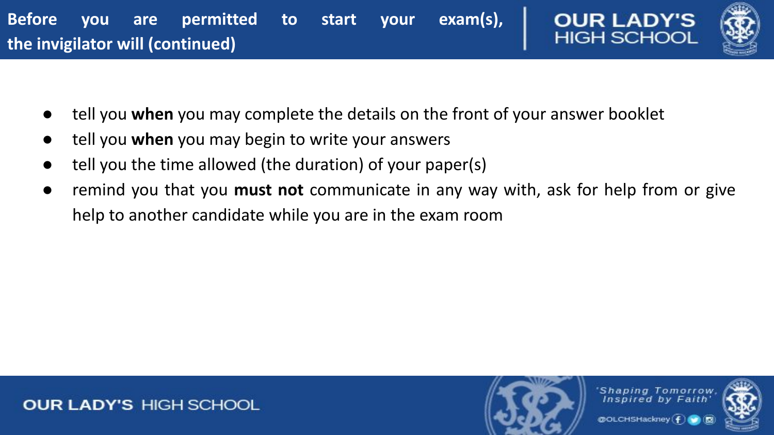



- tell you **when** you may complete the details on the front of your answer booklet
- tell you **when** you may begin to write your answers
- tell you the time allowed (the duration) of your paper(s)
- remind you that you **must not** communicate in any way with, ask for help from or give help to another candidate while you are in the exam room

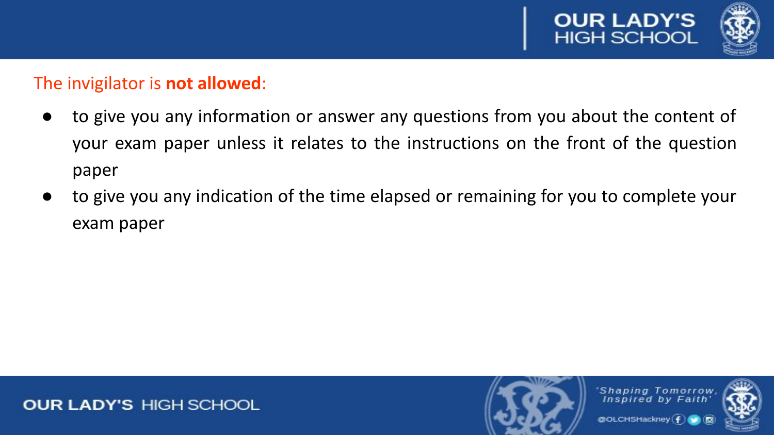

### The invigilator is **not allowed**:

- to give you any information or answer any questions from you about the content of your exam paper unless it relates to the instructions on the front of the question paper
- to give you any indication of the time elapsed or remaining for you to complete your exam paper

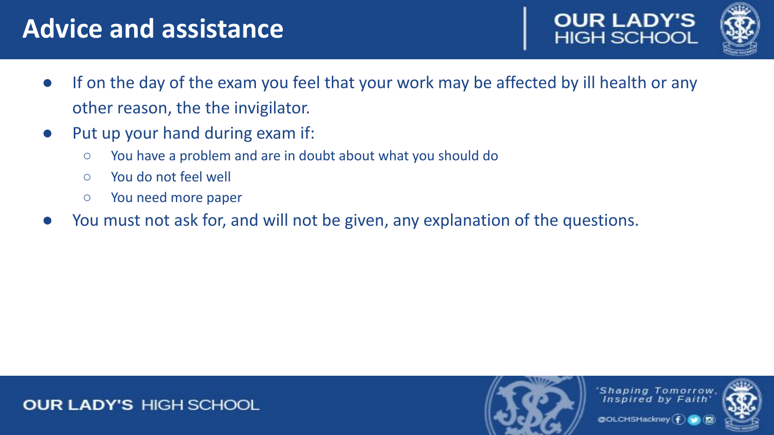# **Advice and assistance**





- If on the day of the exam you feel that your work may be affected by ill health or any other reason, the the invigilator.
- Put up your hand during exam if:
	- You have a problem and are in doubt about what you should do
	- You do not feel well
	- You need more paper
- You must not ask for, and will not be given, any explanation of the questions.



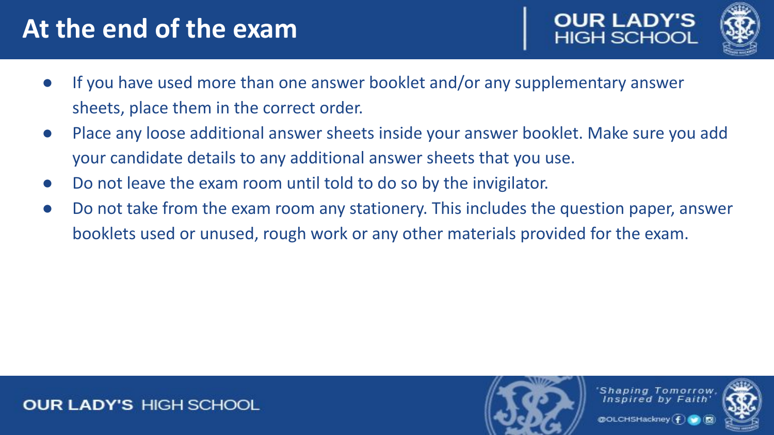# **At the end of the exam**





- If you have used more than one answer booklet and/or any supplementary answer sheets, place them in the correct order.
- Place any loose additional answer sheets inside your answer booklet. Make sure you add your candidate details to any additional answer sheets that you use.
- Do not leave the exam room until told to do so by the invigilator.
- Do not take from the exam room any stationery. This includes the question paper, answer booklets used or unused, rough work or any other materials provided for the exam.

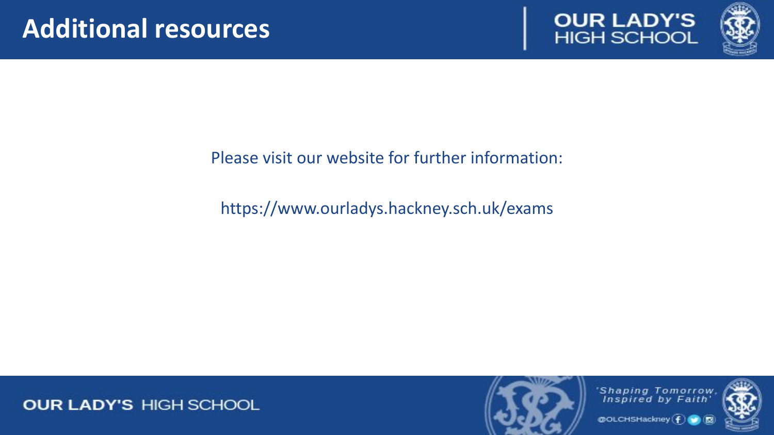



### Please visit our website for further information:

## https://www.ourladys.hackney.sch.uk/exams